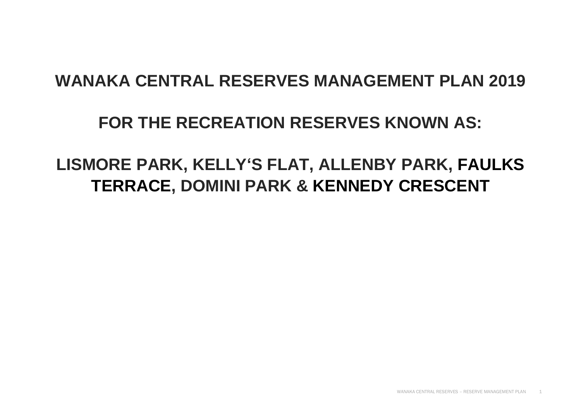# **WANAKA CENTRAL RESERVES MANAGEMENT PLAN 2019**

## **FOR THE RECREATION RESERVES KNOWN AS:**

# **LISMORE PARK, KELLY'S FLAT, ALLENBY PARK, FAULKS TERRACE, DOMINI PARK & KENNEDY CRESCENT**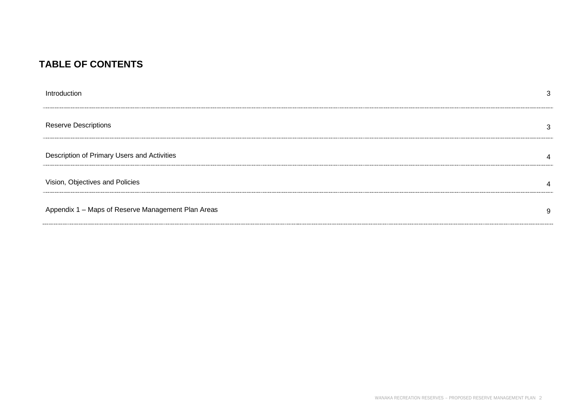## **TABLE OF CONTENTS**

| Introduction                                       | 3 |
|----------------------------------------------------|---|
| <b>Reserve Descriptions</b>                        | 3 |
| Description of Primary Users and Activities        | 4 |
| Vision, Objectives and Policies                    | 4 |
| Appendix 1 - Maps of Reserve Management Plan Areas | 9 |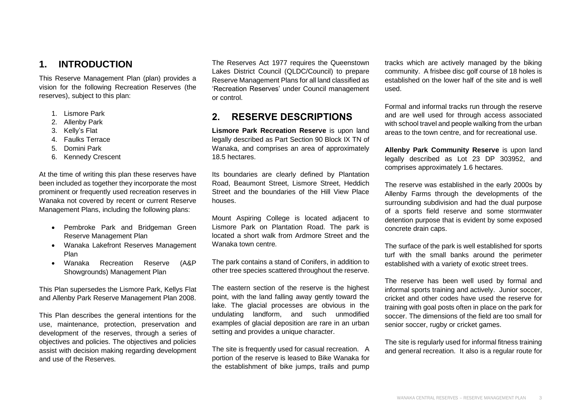### **1. INTRODUCTION**

This Reserve Management Plan (plan) provides a vision for the following Recreation Reserves (the reserves), subject to this plan:

- 1. Lismore Park
- 2. Allenby Park
- 3. Kelly's Flat
- 4. Faulks Terrace
- 5. Domini Park
- 6. Kennedy Crescent

At the time of writing this plan these reserves have been included as together they incorporate the most prominent or frequently used recreation reserves in Wanaka not covered by recent or current Reserve Management Plans, including the following plans:

- Pembroke Park and Bridgeman Green Reserve Management Plan
- Wanaka Lakefront Reserves Management Plan
- Wanaka Recreation Reserve (A&P Showgrounds) Management Plan

This Plan supersedes the Lismore Park, Kellys Flat and Allenby Park Reserve Management Plan 2008.

This Plan describes the general intentions for the use, maintenance, protection, preservation and development of the reserves, through a series of objectives and policies. The objectives and policies assist with decision making regarding development and use of the Reserves.

The Reserves Act 1977 requires the Queenstown Lakes District Council (QLDC/Council) to prepare Reserve Management Plans for all land classified as 'Recreation Reserves' under Council management or control.

## **2. RESERVE DESCRIPTIONS**

**Lismore Park Recreation Reserve** is upon land legally described as Part Section 90 Block IX TN of Wanaka, and comprises an area of approximately 18.5 hectares.

Its boundaries are clearly defined by Plantation Road, Beaumont Street, Lismore Street, Heddich Street and the boundaries of the Hill View Place houses.

Mount Aspiring College is located adjacent to Lismore Park on Plantation Road. The park is located a short walk from Ardmore Street and the Wanaka town centre.

The park contains a stand of Conifers, in addition to other tree species scattered throughout the reserve.

The eastern section of the reserve is the highest point, with the land falling away gently toward the lake. The glacial processes are obvious in the undulating landform, and such unmodified examples of glacial deposition are rare in an urban setting and provides a unique character.

The site is frequently used for casual recreation. A portion of the reserve is leased to Bike Wanaka for the establishment of bike jumps, trails and pump

tracks which are actively managed by the biking community. A frisbee disc golf course of 18 holes is established on the lower half of the site and is well used.

Formal and informal tracks run through the reserve and are well used for through access associated with school travel and people walking from the urban areas to the town centre, and for recreational use.

**Allenby Park Community Reserve** is upon land legally described as Lot 23 DP 303952, and comprises approximately 1.6 hectares.

The reserve was established in the early 2000s by Allenby Farms through the developments of the surrounding subdivision and had the dual purpose of a sports field reserve and some stormwater detention purpose that is evident by some exposed concrete drain caps.

The surface of the park is well established for sports turf with the small banks around the perimeter established with a variety of exotic street trees.

The reserve has been well used by formal and informal sports training and actively. Junior soccer, cricket and other codes have used the reserve for training with goal posts often in place on the park for soccer. The dimensions of the field are too small for senior soccer, rugby or cricket games.

The site is regularly used for informal fitness training and general recreation. It also is a regular route for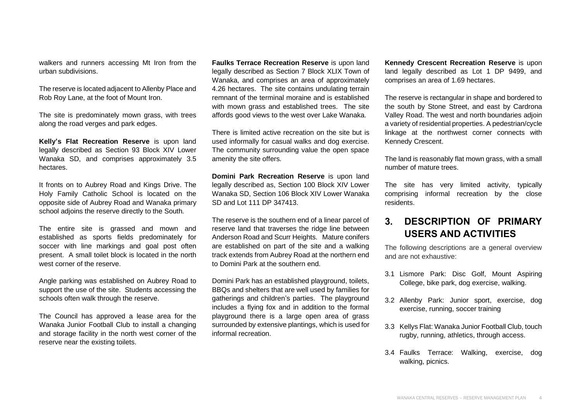walkers and runners accessing Mt Iron from the urban subdivisions.

The reserve is located adjacent to Allenby Place and Rob Roy Lane, at the foot of Mount Iron.

The site is predominately mown grass, with trees along the road verges and park edges.

**Kelly's Flat Recreation Reserve** is upon land legally described as Section 93 Block XIV Lower Wanaka SD, and comprises approximately 3.5 hectares.

It fronts on to Aubrey Road and Kings Drive. The Holy Family Catholic School is located on the opposite side of Aubrey Road and Wanaka primary school adjoins the reserve directly to the South.

The entire site is grassed and mown and established as sports fields predominately for soccer with line markings and goal post often present. A small toilet block is located in the north west corner of the reserve.

Angle parking was established on Aubrey Road to support the use of the site. Students accessing the schools often walk through the reserve.

The Council has approved a lease area for the Wanaka Junior Football Club to install a changing and storage facility in the north west corner of the reserve near the existing toilets.

**Faulks Terrace Recreation Reserve** is upon land legally described as Section 7 Block XLIX Town of Wanaka, and comprises an area of approximately 4.26 hectares. The site contains undulating terrain remnant of the terminal moraine and is established with mown grass and established trees. The site affords good views to the west over Lake Wanaka.

There is limited active recreation on the site but is used informally for casual walks and dog exercise. The community surrounding value the open space amenity the site offers.

**Domini Park Recreation Reserve** is upon land legally described as, Section 100 Block XIV Lower Wanaka SD, Section 106 Block XIV Lower Wanaka SD and Lot 111 DP 347413.

The reserve is the southern end of a linear parcel of reserve land that traverses the ridge line between Anderson Road and Scurr Heights. Mature conifers are established on part of the site and a walking track extends from Aubrey Road at the northern end to Domini Park at the southern end.

Domini Park has an established playground, toilets, BBQs and shelters that are well used by families for gatherings and children's parties. The playground includes a flying fox and in addition to the formal playground there is a large open area of grass surrounded by extensive plantings, which is used for informal recreation.

**Kennedy Crescent Recreation Reserve** is upon land legally described as Lot 1 DP 9499, and comprises an area of 1.69 hectares.

The reserve is rectangular in shape and bordered to the south by Stone Street, and east by Cardrona Valley Road. The west and north boundaries adjoin a variety of residential properties. A pedestrian/cycle linkage at the northwest corner connects with Kennedy Crescent.

The land is reasonably flat mown grass, with a small number of mature trees.

The site has very limited activity, typically comprising informal recreation by the close residents.

## **3. DESCRIPTION OF PRIMARY USERS AND ACTIVITIES**

The following descriptions are a general overview and are not exhaustive:

- 3.1 Lismore Park: Disc Golf, Mount Aspiring College, bike park, dog exercise, walking.
- 3.2 Allenby Park: Junior sport, exercise, dog exercise, running, soccer training
- 3.3 Kellys Flat: Wanaka Junior Football Club, touch rugby, running, athletics, through access.
- 3.4 Faulks Terrace: Walking, exercise, dog walking, picnics.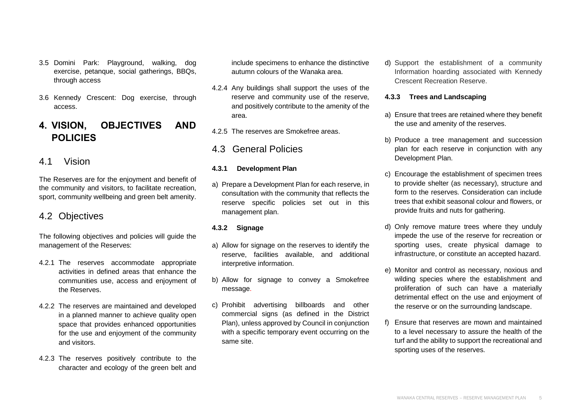- 3.5 Domini Park: Playground, walking, dog exercise, petanque, social gatherings, BBQs, through access
- 3.6 Kennedy Crescent: Dog exercise, through access.

## **4. VISION, OBJECTIVES AND POLICIES**

### 4.1 Vision

The Reserves are for the enjoyment and benefit of the community and visitors, to facilitate recreation, sport, community wellbeing and green belt amenity.

## 4.2 Objectives

The following objectives and policies will guide the management of the Reserves:

- 4.2.1 The reserves accommodate appropriate activities in defined areas that enhance the communities use, access and enjoyment of the Reserves.
- 4.2.2 The reserves are maintained and developed in a planned manner to achieve quality open space that provides enhanced opportunities for the use and enjoyment of the community and visitors.
- 4.2.3 The reserves positively contribute to the character and ecology of the green belt and

include specimens to enhance the distinctive autumn colours of the Wanaka area.

- 4.2.4 Any buildings shall support the uses of the reserve and community use of the reserve, and positively contribute to the amenity of the area.
- 4.2.5 The reserves are Smokefree areas.
- 4.3 General Policies

#### **4.3.1 Development Plan**

a) Prepare a Development Plan for each reserve, in consultation with the community that reflects the reserve specific policies set out in this management plan.

#### **4.3.2 Signage**

- a) Allow for signage on the reserves to identify the reserve, facilities available, and additional interpretive information.
- b) Allow for signage to convey a Smokefree message.
- c) Prohibit advertising billboards and other commercial signs (as defined in the District Plan), unless approved by Council in conjunction with a specific temporary event occurring on the same site.

d) Support the establishment of a community Information hoarding associated with Kennedy Crescent Recreation Reserve.

#### **4.3.3 Trees and Landscaping**

- a) Ensure that trees are retained where they benefit the use and amenity of the reserves.
- b) Produce a tree management and succession plan for each reserve in conjunction with any Development Plan.
- c) Encourage the establishment of specimen trees to provide shelter (as necessary), structure and form to the reserves. Consideration can include trees that exhibit seasonal colour and flowers, or provide fruits and nuts for gathering.
- d) Only remove mature trees where they unduly impede the use of the reserve for recreation or sporting uses, create physical damage to infrastructure, or constitute an accepted hazard.
- e) Monitor and control as necessary, noxious and wilding species where the establishment and proliferation of such can have a materially detrimental effect on the use and enjoyment of the reserve or on the surrounding landscape.
- f) Ensure that reserves are mown and maintained to a level necessary to assure the health of the turf and the ability to support the recreational and sporting uses of the reserves.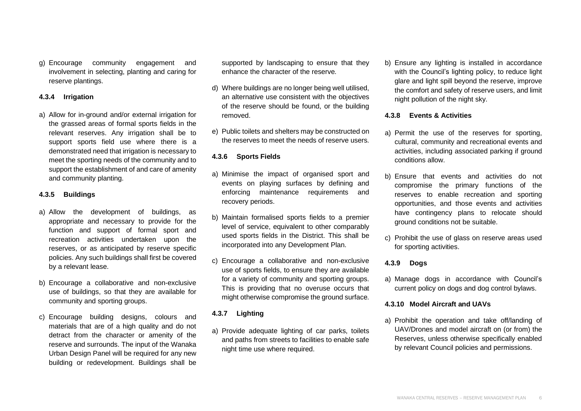g) Encourage community engagement and involvement in selecting, planting and caring for reserve plantings.

#### **4.3.4 Irrigation**

a) Allow for in-ground and/or external irrigation for the grassed areas of formal sports fields in the relevant reserves. Any irrigation shall be to support sports field use where there is a demonstrated need that irrigation is necessary to meet the sporting needs of the community and to support the establishment of and care of amenity and community planting.

#### **4.3.5 Buildings**

- a) Allow the development of buildings, as appropriate and necessary to provide for the function and support of formal sport and recreation activities undertaken upon the reserves, or as anticipated by reserve specific policies. Any such buildings shall first be covered by a relevant lease.
- b) Encourage a collaborative and non-exclusive use of buildings, so that they are available for community and sporting groups.
- c) Encourage building designs, colours and materials that are of a high quality and do not detract from the character or amenity of the reserve and surrounds. The input of the Wanaka Urban Design Panel will be required for any new building or redevelopment. Buildings shall be

supported by landscaping to ensure that they enhance the character of the reserve.

- d) Where buildings are no longer being well utilised, an alternative use consistent with the objectives of the reserve should be found, or the building removed.
- e) Public toilets and shelters may be constructed on the reserves to meet the needs of reserve users.

#### **4.3.6 Sports Fields**

- a) Minimise the impact of organised sport and events on playing surfaces by defining and enforcing maintenance requirements and recovery periods.
- b) Maintain formalised sports fields to a premier level of service, equivalent to other comparably used sports fields in the District. This shall be incorporated into any Development Plan.
- c) Encourage a collaborative and non-exclusive use of sports fields, to ensure they are available for a variety of community and sporting groups. This is providing that no overuse occurs that might otherwise compromise the ground surface.

#### **4.3.7 Lighting**

a) Provide adequate lighting of car parks, toilets and paths from streets to facilities to enable safe night time use where required.

b) Ensure any lighting is installed in accordance with the Council's lighting policy, to reduce light glare and light spill beyond the reserve, improve the comfort and safety of reserve users, and limit night pollution of the night sky.

#### **4.3.8 Events & Activities**

- a) Permit the use of the reserves for sporting, cultural, community and recreational events and activities, including associated parking if ground conditions allow.
- b) Ensure that events and activities do not compromise the primary functions of the reserves to enable recreation and sporting opportunities, and those events and activities have contingency plans to relocate should ground conditions not be suitable.
- c) Prohibit the use of glass on reserve areas used for sporting activities.

#### **4.3.9 Dogs**

a) Manage dogs in accordance with Council's current policy on dogs and dog control bylaws.

#### **4.3.10 Model Aircraft and UAVs**

a) Prohibit the operation and take off/landing of UAV/Drones and model aircraft on (or from) the Reserves, unless otherwise specifically enabled by relevant Council policies and permissions.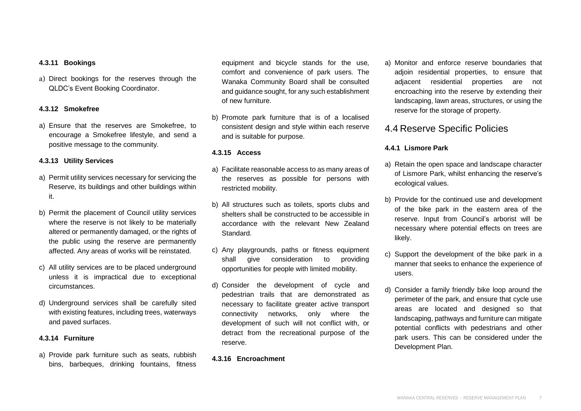#### **4.3.11 Bookings**

a) Direct bookings for the reserves through the QLDC's Event Booking Coordinator.

#### **4.3.12 Smokefree**

a) Ensure that the reserves are Smokefree, to encourage a Smokefree lifestyle, and send a positive message to the community.

#### **4.3.13 Utility Services**

- a) Permit utility services necessary for servicing the Reserve, its buildings and other buildings within it.
- b) Permit the placement of Council utility services where the reserve is not likely to be materially altered or permanently damaged, or the rights of the public using the reserve are permanently affected. Any areas of works will be reinstated.
- c) All utility services are to be placed underground unless it is impractical due to exceptional circumstances.
- d) Underground services shall be carefully sited with existing features, including trees, waterways and paved surfaces.

#### **4.3.14 Furniture**

a) Provide park furniture such as seats, rubbish bins, barbeques, drinking fountains, fitness equipment and bicycle stands for the use, comfort and convenience of park users. The Wanaka Community Board shall be consulted and guidance sought, for any such establishment of new furniture.

b) Promote park furniture that is of a localised consistent design and style within each reserve and is suitable for purpose.

#### **4.3.15 Access**

- a) Facilitate reasonable access to as many areas of the reserves as possible for persons with restricted mobility.
- b) All structures such as toilets, sports clubs and shelters shall be constructed to be accessible in accordance with the relevant New Zealand Standard.
- c) Any playgrounds, paths or fitness equipment shall give consideration to providing opportunities for people with limited mobility.
- d) Consider the development of cycle and pedestrian trails that are demonstrated as necessary to facilitate greater active transport connectivity networks, only where the development of such will not conflict with, or detract from the recreational purpose of the reserve.

#### **4.3.16 Encroachment**

a) Monitor and enforce reserve boundaries that adjoin residential properties, to ensure that adjacent residential properties are not encroaching into the reserve by extending their landscaping, lawn areas, structures, or using the reserve for the storage of property.

### 4.4 Reserve Specific Policies

#### **4.4.1 Lismore Park**

- a) Retain the open space and landscape character of Lismore Park, whilst enhancing the reserve's ecological values.
- b) Provide for the continued use and development of the bike park in the eastern area of the reserve. Input from Council's arborist will be necessary where potential effects on trees are likely.
- c) Support the development of the bike park in a manner that seeks to enhance the experience of users.
- d) Consider a family friendly bike loop around the perimeter of the park, and ensure that cycle use areas are located and designed so that landscaping, pathways and furniture can mitigate potential conflicts with pedestrians and other park users. This can be considered under the Development Plan.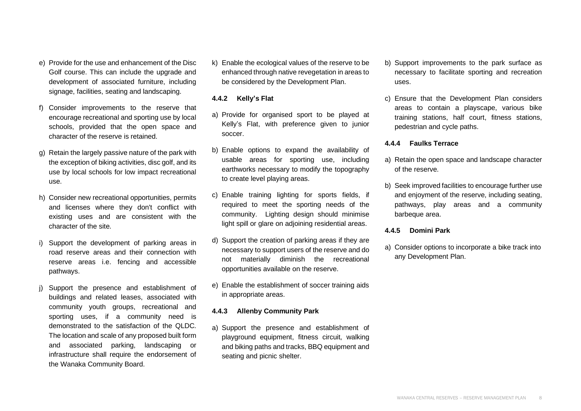- e) Provide for the use and enhancement of the Disc Golf course. This can include the upgrade and development of associated furniture, including signage, facilities, seating and landscaping.
- f) Consider improvements to the reserve that encourage recreational and sporting use by local schools, provided that the open space and character of the reserve is retained.
- g) Retain the largely passive nature of the park with the exception of biking activities, disc golf, and its use by local schools for low impact recreational use.
- h) Consider new recreational opportunities, permits and licenses where they don't conflict with existing uses and are consistent with the character of the site.
- i) Support the development of parking areas in road reserve areas and their connection with reserve areas i.e. fencing and accessible pathways.
- j) Support the presence and establishment of buildings and related leases, associated with community youth groups, recreational and sporting uses, if a community need is demonstrated to the satisfaction of the QLDC. The location and scale of any proposed built form and associated parking, landscaping or infrastructure shall require the endorsement of the Wanaka Community Board.

k) Enable the ecological values of the reserve to be enhanced through native revegetation in areas to be considered by the Development Plan.

#### **4.4.2 Kelly's Flat**

- a) Provide for organised sport to be played at Kelly's Flat, with preference given to junior soccer.
- b) Enable options to expand the availability of usable areas for sporting use, including earthworks necessary to modify the topography to create level playing areas.
- c) Enable training lighting for sports fields, if required to meet the sporting needs of the community. Lighting design should minimise light spill or glare on adjoining residential areas.
- d) Support the creation of parking areas if they are necessary to support users of the reserve and do not materially diminish the recreational opportunities available on the reserve.
- e) Enable the establishment of soccer training aids in appropriate areas.

#### **4.4.3 Allenby Community Park**

a) Support the presence and establishment of playground equipment, fitness circuit, walking and biking paths and tracks, BBQ equipment and seating and picnic shelter.

- b) Support improvements to the park surface as necessary to facilitate sporting and recreation uses.
- c) Ensure that the Development Plan considers areas to contain a playscape, various bike training stations, half court, fitness stations, pedestrian and cycle paths.

#### **4.4.4 Faulks Terrace**

- a) Retain the open space and landscape character of the reserve.
- b) Seek improved facilities to encourage further use and enjoyment of the reserve, including seating, pathways, play areas and a community barbeque area.

#### **4.4.5 Domini Park**

a) Consider options to incorporate a bike track into any Development Plan.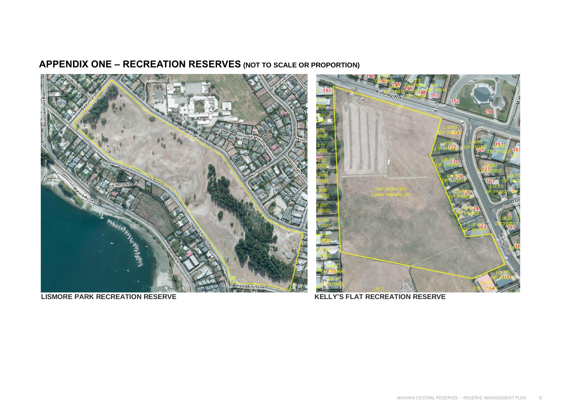## **APPENDIX ONE – RECREATION RESERVES (NOT TO SCALE OR PROPORTION)**



**LISMORE PARK RECREATION RESERVE KELLY'S FLAT RECREATION RESERVE**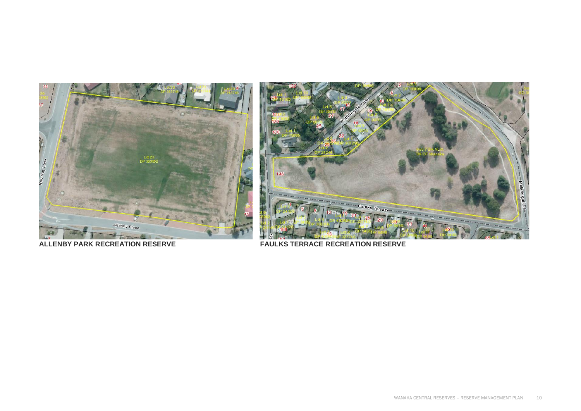